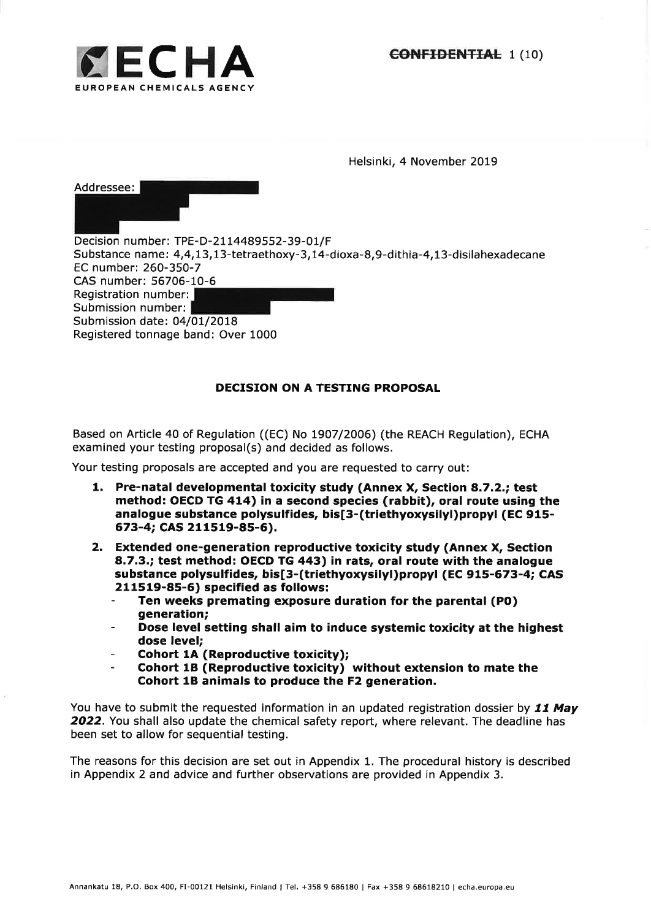

Helsinki, 4 November 2019

Addressee: Decision number: TPE-D-2114489552-39-01/F Substance name: 4,4,I3,73-tetraethoxy-3,I4-dioxa-8,9-dithia-4,13-disilahexadecane EC number:260-35O-7 CAS number: 56706-10-6 Registration number: Submission number: Submission date: 04/01/2018 Registered tonnage band: Over 1000

# DECISION ON A TESTING PROPOSAL

Based on Article 40 of Regulation ((EC) No L9O7/2006) (the REACH Regulation), ECHA examined your testing proposal(s) and decided as follows.

Your testing proposals are accepted and you are requested to carry out:

- 1. Pre-natal developmental toxicity study (Annex X, Section 8.7.2.; test method: OECD TG 414) in a second species (rabbit), oral route using the analogue substance polysulfides, bis[3-(triethyoxysilyl)propyl (EC 915-673-4; CAS 21 1s19-8s-6).
- 2. Extended one-generation reproductive toxicity study (Annex X, Section a.7.3.; test method: OECD TG 443) in rats, oral route with the analogue substance polysulfides, bis[3-(triethyoxysilyl)propyl (EC 915-673-4; CAS 211519-85-6) specified as follows:
	- Ten weeks premating exposure duration for the parental (PO) generation;
	- Dose level setting shall aim to induce systemic toxicity at the highest dose level;
	- Cohort 1A (Reproductive toxicity);
	- Cohort 1B (Reproductive toxicity) without extension to mate the Cohort 1B animals to produce the F2 generation.

You have to submit the requested information in an updated registration dossier by 11 May 2022. You shall also update the chemical safety report, where relevant. The deadline has been set to allow for sequential testing.

The reasons for this decision are set out in Appendix 1. The procedural history is described in Appendix 2 and advice and further observations are provided in Appendix 3.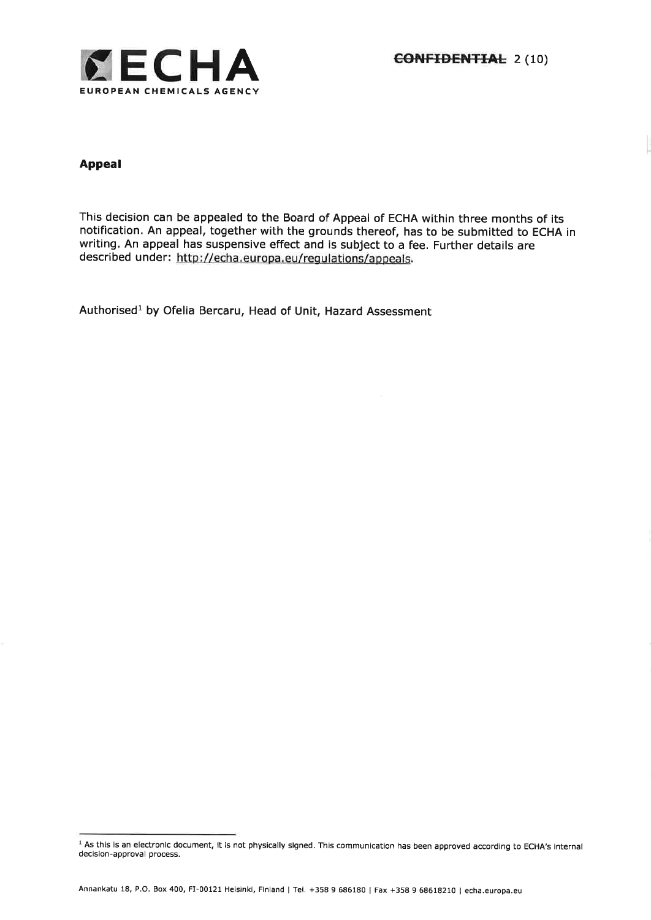

# Appeal

This decision can be appealed to the Board of Appeal of ECHA within three months of its notification, An appeal, together with the grounds thereof, has to be submitted to ECHA in writing. An appeal has suspensive effect and is subject to a fee. Further details are described under: http://echa.europa.eu/regulations/appeals.

Authorised<sup>1</sup> by Ofelia Bercaru, Head of Unit, Hazard Assessment

<sup>&</sup>lt;sup>1</sup> As this is an electronic document, it is not physically signed. This communication has been approved according to ECHA's internal decision-approval process.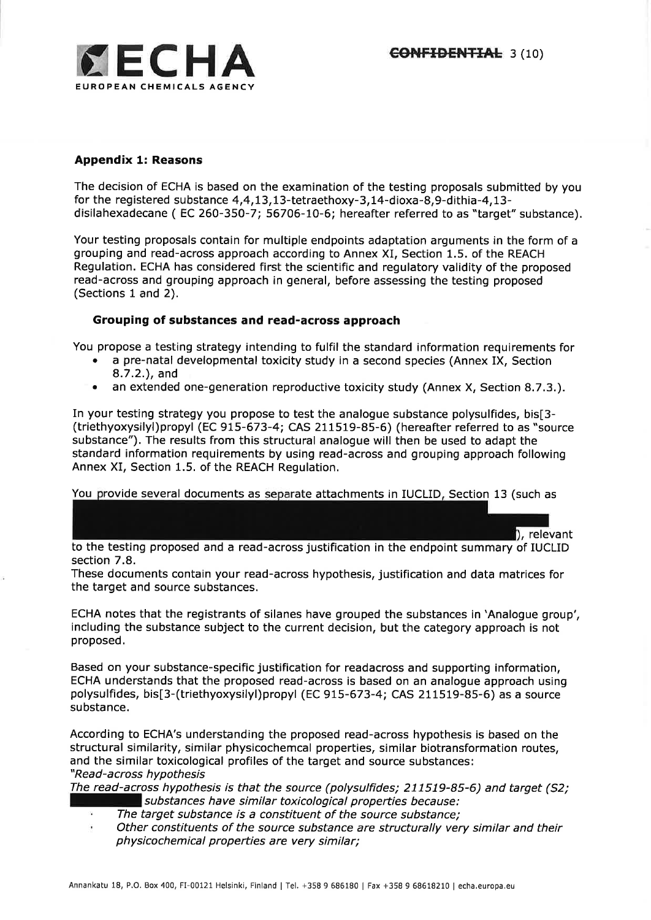## Appendix 1: Reasons

The decision of ECHA is based on the examination of the testing proposals submitted by you for the registered substance  $4,4,13,13$ -tetraethoxy-3,14-dioxa-8,9-dithia-4,13disilahexadecane (EC 260-350-7; 56706-10-6; hereafter referred to as "target" substance).

Your testing proposals contain for multiple endpoints adaptation arguments in the form of a grouping and read-across approach according to Annex XI, Section 1.5. of the REACH Regulation. ECHA has considered first the scientific and regulatory validity of the proposed read-across and grouping approach in general, before assessing the testing proposed (Sections 1 and 2).

## Grouping of substances and read-across approach

You propose a testing strategy intending to fulfil the standard information requirements for

- . a pre-natal developmental toxicity study in a second species (Annex IX, Section 8.7.2.), and
- . an extended one-generation reproductive toxicity study (Annex X, Section 8.7.3.).

In your testing strategy you propose to test the analogue substance polysulfides, bis[3- (triethyoxysilyl)propyl (EC 915-673-4; CAS 211519-85-6) (hereafter referred to as "source substance"). The results from this structural analogue will then be used to adapt the standard information requirements by using read-across and grouping approach following Annex XI, Section 1.5, of the REACH Regulation.

You provide several documents as separate attachments in IUCLID, Section 13 (such as

, relevant to the testing proposed and a read-across justification in the endpoint summary of IUCLID section 7.8,

These documents contain your read-across hypothesis, justification and data matrices for the target and source substances.

ECHA notes that the registrants of silanes have grouped the substances in 'Analogue group', including the substance subject to the current decision, but the category approach is not proposed,

Based on your substance-specific justification for readacross and supporting information, ECHA understands that the proposed read-across is based on an analogue approach using polysulfides, bis[3-(triethyoxysilyl)propyl (EC 915-673-4; CAS 211519-85-6) as a source substance.

According to ECHA's understanding the proposed read-across hypothesis is based on the structural similarity, similar physicochemcal properties, similar biotransformation routes, and the similar toxicological profiles of the target and source substances: "Read-across hypothesis

The read-across hypothesis is that the source (polysulfides; 211519-85-6) and target (52; substances have similar toxicological properties because:

- The target substance is a constituent of the source substance;
- Other constituents of the source substance are structurally very similar and their physicochemical properties are very similar;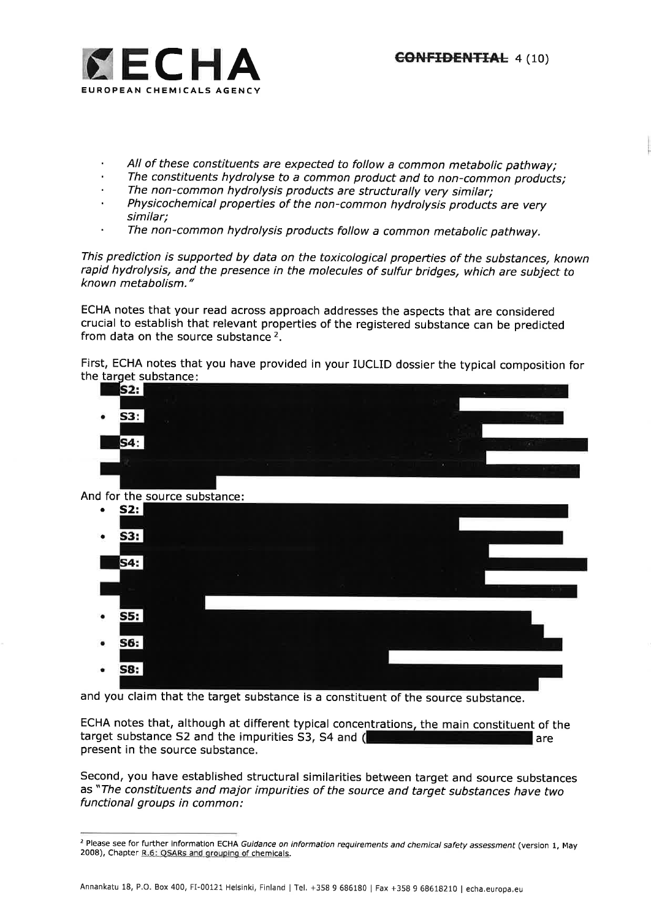- 
- 
- 
- All of these constituents are expected to follow a common metabolic pathway;<br>The constituents hydrolyse to a common product and to non-common products;<br>The non-common hydrolysis products are structurally very similar;<br>Phys
- The non-common hydrolysis products follow a common metabolic pathway.

This prediction is supported by data on the toxicological properties of the substances, known rapid hydrolysis, and the presence in the molecules of sulfur bridges, which are subject to known metabolism."

ECHA notes that your read across approach addresses the aspects that are considered crucial to establish that relevant properties of the registered substance can be predicted from data on the source substance 2,

First, ECHA notes that you have provided in your IUCLID dossier the typical composition for the <u>target substanc</u>e





and you claim that the target substance is a constituent of the source substance.

target substance S2 and the impurities S3, S4 and ( present in the source substance, ECHA notes that, although at different typical concentrations, the main constituent of the are

Second, you have established structural similarities between target and source substances as "The constituents and major impurities of the source and target substances have two functional groups in common:

<sup>&</sup>lt;sup>2</sup> Please see for further information ECHA Guidance on information requirements and chemical safety assessment (version 1, May 2008), Chapter R.6: QSARs and grouping of chemicals.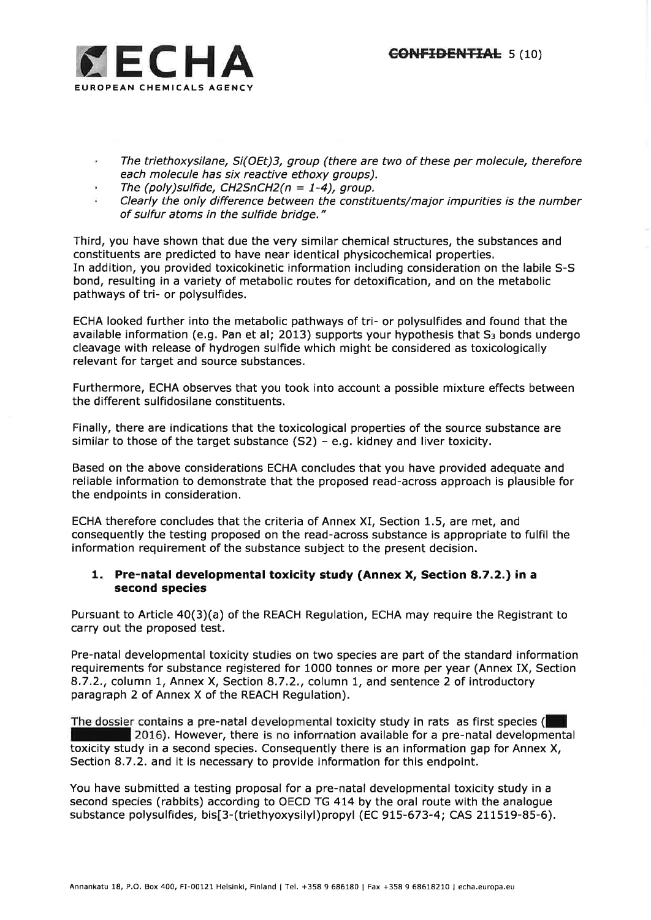

- The triethoxysilane, Si(OEt)3, group (there are two of these per molecule, therefore each molecule has six reactive ethoxy groups).
- The (poly)sulfide, CH2SnCH2( $n = 1-4$ ), group.
- Clearly the only difference between the constituents/major impurities is the number of sulfur atoms in the sulfide bridge."

Third, you have shown that due the very similar chemical structures, the substances and constituents are predicted to have near identical physicochemical properties, In addition, you provided toxicokinetic information including consideration on the labile S-S bond, resulting in a variety of metabolic routes for detoxification, and on the metabolic pathways of tri- or polysulfides.

ECHA looked further into the metabolic pathways of tri- or polysulfides and found that the available information (e.g. Pan et al; 2013) supports your hypothesis that  $S_3$  bonds undergo cleavage with release of hydrogen sulfide which might be considered as toxicologically relevant for target and source substances.

Furthermore, ECHA observes that you took into account a possible mixture effects between the different sulfidosilane constituents.

Finally, there are indications that the toxicological properties of the source substance are similar to those of the target substance  $(S2)$  – e.g. kidney and liver toxicity.

Based on the above considerations ECHA concludes that you have provided adequate and reliable information to demonstrate that the proposed read-across approach is plausible for the endpoints in consideration.

ECHA therefore concludes that the criteria of Annex XI, Section 1.5, are met, and consequently the testing proposed on the read-across substance is appropriate to fulfil the information requirement of the substance subject to the present decision.

# 1. Pre-natal developmental toxicity study (Annex X, Section 8.7.2.) in a second species

Pursuant to Article 40(3)(a) of the REACH Regulation, ECHA may require the Registrant to carry out the proposed test.

Pre-natal developmental toxicity studies on two species are part of the standard information requirements for substance registered for 1000 tonnes or more per year (Annex IX, Section 8.7.2., column 1, Annex X, Section 8.7.2., column 1, and sentence 2 of introductory paragraph 2 of Annex X of the REACH Regulation).

The dossier contains a pre-natal developmental toxicity study in rats as first species ( I 2016), However, there is no information available for a pre-natal developmental toxicity study in a second species. Consequently there is an information gap for Annex X, Section 8.7.2. and it is necessary to provide information for this endpoint.

You have submitted a testing proposal for a pre-natal developmental toxicity study in a second species (rabbits) according to OECD TG 474 by the oral route with the analogue substance polysulfides, bis[3-(triethyoxysilyl)propyl (EC 915-673-4; CAS 211519-85-6),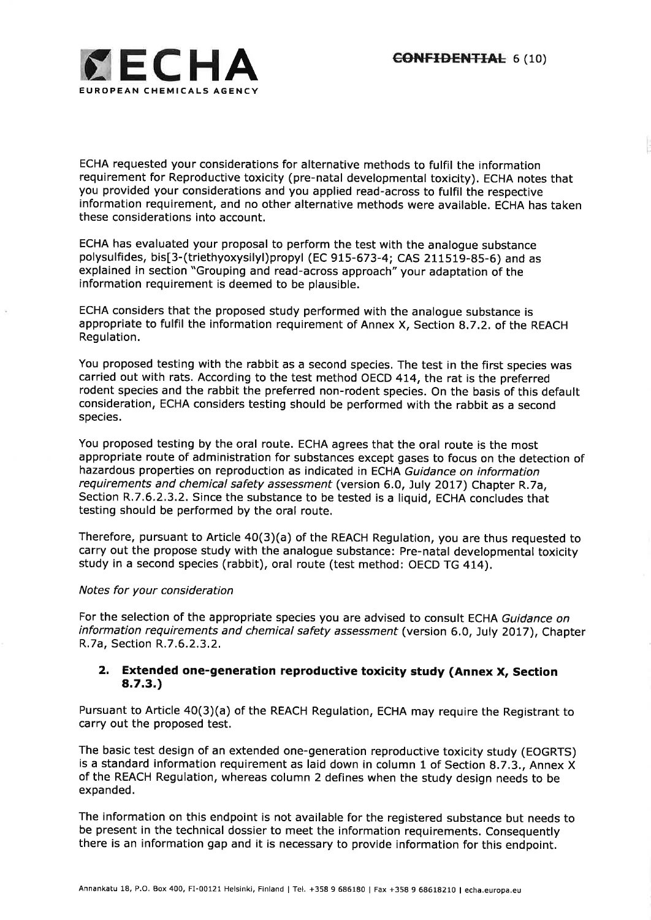

ECHA requested your considerations for alternative methods to fulfil the information requirement for Reproductive toxicity (pre-natal developmental toxicity). ECHA notes that you provided your considerations and you applied read-across to fulfil the respective information requirement, and no other alternative methods were available, ECHA has taken these considerations into account.

ECHA has evaluated your proposal to perform the test with the analogue substance polysulfides, bisf3-(triethyoxysilyl)propyl (Ec 915-673-4; cAS 211519-85-6) and as explained in section "Grouping and read-across approach" your adaptation of the information requirement is deemed to be plausible.

ECHA considers that the proposed study performed with the analogue substance is appropriate to fulfil the information requirement of Annex X, Section 8.7.2. of the REACH Regulation.

You proposed testing with the rabbit as a second species. The test in the first species was carried out with rats. According to the test method OECD 4I4, the rat is the preferred rodent species and the rabbit the preferred non-rodent species. On the basis of this default consideration, ECHA considers testing should be performed with the rabbit as a second species,

You proposed testing by the oral route. ECHA agrees that the oral route is the most appropriate route of administration for substances except gases to focus on the detection of hazardous properties on reproduction as indicated in ECHA Guidance on information requirements and chemical safety assessment (version 6.0, July 2017) Chapter R.7a, Section R.7.6.2.3.2. Since the substance to be tested is a liquid, ECHA concludes that testing should be performed by the oral route.

Therefore, pursuant to Article 40(3)(a) of the REACH Regulation, you are thus requested to carry out the propose study with the analogue substance: Pre-natal developmental toxicity study in a second species (rabbit), oral route (test method: OECD TG 414).

#### Notes for your consideration

For the selection of the appropriate species you are advised to consult ECHA Guidance on information requirements and chemical safety assessment (version 6.0, July 2017), Chapter R.7a, Section R.7.6.2.3.2.

#### 2. Extended one-generation reproductive toxicity study (Annex X, Section 8.7.3.)

Pursuant to Article 40(3)(a) of the REACH Regulation, ECHA may require the Registrant to carry out the proposed test.

The basic test design of an extended one-generation reproductive toxicity study (EOGRTS) is a standard information requirement as laid down in column 1 of Section 8.7.3., Annex X of the REACH Regulation, whereas column 2 defines when the study design needs to be expanded.

The information on this endpoint is not available for the registered substance but needs to be present in the technical dossier to meet the information requirements. Consequently there is an information gap and it is necessary to provide information for this endpoint.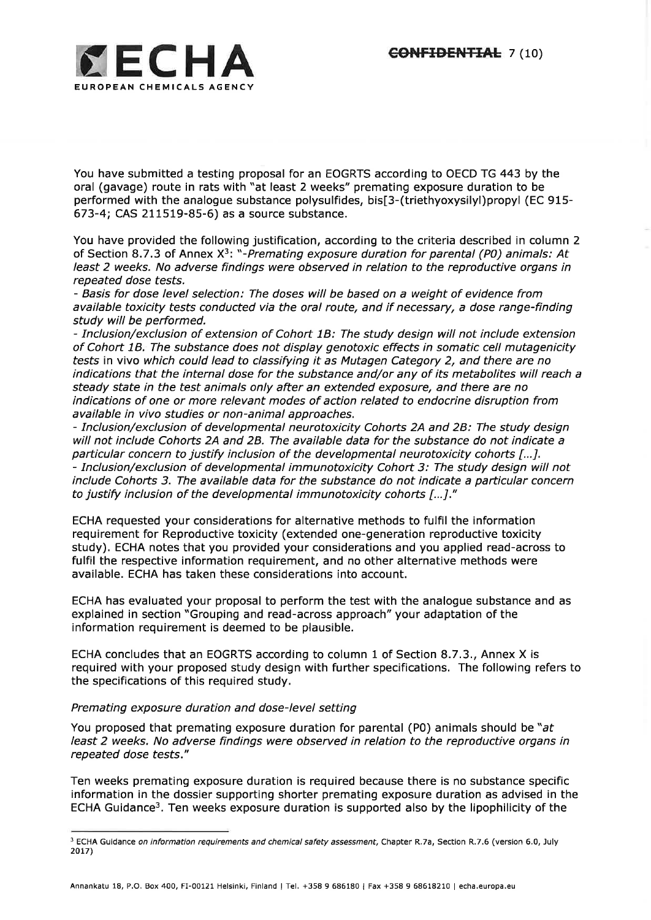

You have submitted a testing proposal for an EOGRTS according to OECD TG 443 by the oral (gavage) route in rats with "at least 2 weeks" premating exposure duration to be performed with the analogue substance polysulfides, bis[3-(triethyoxysilyl)propyl (EC 915- 673-4; CAS 211519-85-6) as a source substance,

You have provided the following justification, according to the criteria described in column <sup>2</sup> of Section 8.7.3 of Annex  $X^3$ : "-Premating exposure duration for parental (P0) animals: At least 2 weeks. No adverse findings were observed in relation to the reproductive organs in repeated dose tests.

- Basis for dose level selection: The doses will be based on a weight of evidence from available toxicity tests conducted via the oral route, and if necessary, a dose range-finding study will be performed.

- Inclusion/exclusion of extension of Cohort 1B: The study design will not include extension of Cohort 18. The substance does not display genotoxic effects in somatic cell mutagenicity fesfs in vivo which could lead to classifying it as Mutagen Category 2, and there are no indications that the internal dose for the substance and/or any of its metabolites will reach a steady state in the test animals only after an extended exposure, and there are no indications of one or more relevant modes of action related to endocrine disruption from available in vivo studies or non-animal approaches.

- Inclusion/exclusion of developmental neurotoxicity Cohorts 2A and 28: The study design will not include Cohorts 24 and 28. The available data for the substance do not indicate a particular concern to justify inclusion of the developmental neurotoxicity cohorts [...]. - Inclusion/exclusion of developmental immunotoxicity Cohort 3: The study design will not include Cohorts 3. The available data for the substance do not indicate a particular concern to justify inclusion of the developmental immunotoxicity cohorts [...]."

ECHA requested your considerations for alternative methods to fulfil the information requirement for Reproductive toxicity (extended one-generation reproductive toxicity study). ECHA notes that you provided your considerations and you applied read-across to fulfil the respective information requirement, and no other alternative methods were available. ECHA has taken these considerations into account.

ECHA has evaluated your proposal to perform the test with the analogue substance and as explained in section "Grouping and read-across approach" your adaptation of the information requirement is deemed to be plausible.

ECHA concludes that an EOGRTS according to column 1 of Section 8.7.3., Annex X is required with your proposed study design with further specifications. The following refers to the specifications of this required study,

## Premating exposure duration and dose-level setting

You proposed that premating exposure duration for parental (P0) animals should be " $at$ least 2 weeks. No adverse findings were observed in relation to the reproductive organs in repeated dose tests."

Ten weeks premating exposure duration is required because there is no substance specific information in the dossier supporting shorter premating exposure duration as advised in the ECHA Guidance3. Ten weeks exposure duration is supported also by the lipophilicity of the

<sup>&</sup>lt;sup>3</sup> ECHA Guidance on information requirements and chemical safety assessment, Chapter R.7a, Section R.7.6 (version 6.0, July 2017)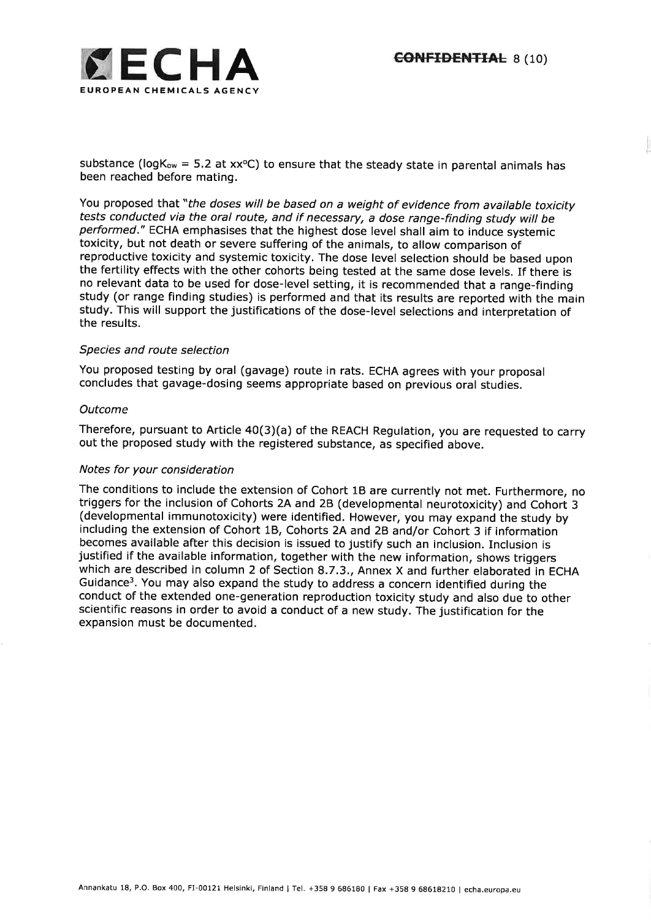l-



substance ( $logK_{ow} = 5.2$  at xx<sup>o</sup>C) to ensure that the steady state in parental animals has been reached before mating.

You proposed that "the doses will be based on a weight of evidence from available toxicity tests conducted via the oral route, and if necessary, a dose range-finding study wilt be performed," ECHA emphasises that the highest dose level shall aim to induce systemic toxicity, but not death or severe suffering of the animals, to allow comparison of reproductive toxicity and systemic toxicity. The dose level selection should be based upon the fertility effects with the other cohorts being tested at the same dose levels. If there is no relevant data to be used for dose-level setting, it is recommended that a range-finding study (or range finding studies) is performed and that its results are reported with the main study. This will support the justifications of the dose-level selections and interpretation of the results.

#### Species and route selection

You proposed testing by oral (gavage) route in rats. ECHA agrees with your proposal concludes that gavage-dosing seems appropriate based on previous oral studies.

#### Outcome

Therefore, pursuant to Article a0(3)(a) of the REACH Regulation, you are requested to carry out the proposed study with the registered substance, as specified above.

#### Notes for your consideration

The conditions to include the extension of Cohort 18 are currently not met. Furthermore, no triggers for the inclusion of Cohorts 2A and 28 (developmental neurotoxicity) and Cohort <sup>3</sup> (developmental immunotoxicity) were identified. However, you may expand the study by including the extension of Cohort 1B, Cohorts 2A and 28 and/or Cohort 3 if information becomes available after this decision is issued to justify such an inclusion. Inclusion is justified if the available information, together with the new information, shows triggers which are described in column 2 of Section 8.7.3., Annex X and further elaborated in ECHA Guidance3. You may also expand the study to address a concern identified during the conduct of the extended one-generation reproduction toxicity study and also due to other scientific reasons in order to avoid a conduct of a new study. The justification for the expansion must be documented.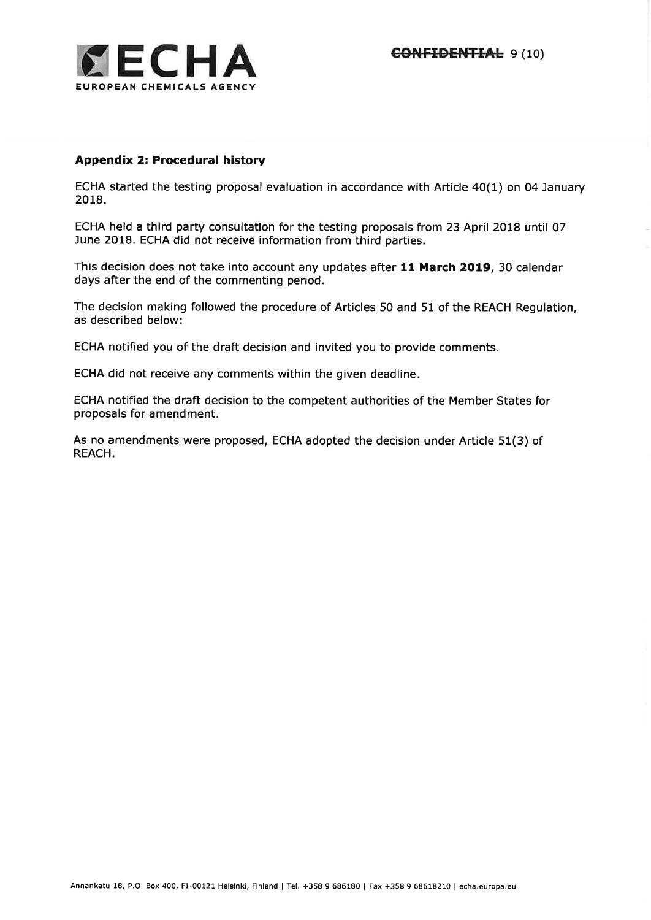

# Appendix 2: Procedural history

ECHA started the testing proposal evaluation in accordance with Article 40(1) on 04 January 2018.

ECHA held a third party consultation for the testing proposals from 23 April 2018 until 07 June 2018, ECHA did not receive information from third parties.

This decision does not take into account any updates after 11 March 2019, 30 calendar days after the end of the commenting period.

The decision making followed the procedure of Articles 50 and 51 of the REACH Regulation, as described below:

ECHA notified you of the draft decision and invited you to provide comments.

ECHA did not receive any comments within the given deadline

ECHA notified the draft decision to the competent authorities of the Member States for proposals for amendment.

As no amendments were proposed, ECHA adopted the decision under Article 51(3) of REACH.